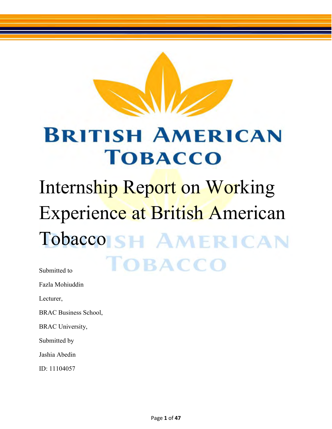

### **BRITISH AMERICAN TOBACCO**

## Internship Report on Working Experience at British American Tobacco<sub>ISH</sub> AMERICAN **TOBACCO**

Submitted to

Fazla Mohiuddin

Lecturer,

BRAC Business School,

BRAC University,

Submitted by

Jashia Abedin

ID: 11104057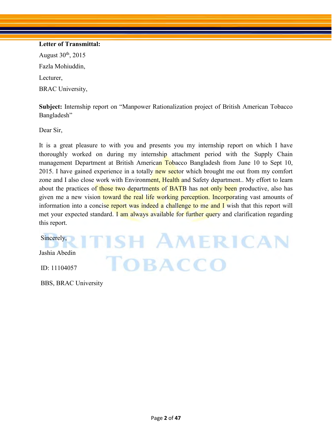#### **Letter of Transmittal:**

August  $30<sup>th</sup>$ , 2015 Fazla Mohiuddin, Lecturer, BRAC University,

**Subject:** Internship report on "Manpower Rationalization project of British American Tobacco Bangladesh"

Dear Sir,

It is a great pleasure to with you and presents you my internship report on which I have thoroughly worked on during my internship attachment period with the Supply Chain management Department at British American Tobacco Bangladesh from June 10 to Sept 10, 2015. I have gained experience in a totally new sector which brought me out from my comfort zone and I also close work with Environment, Health and Safety department.. My effort to learn about the practices of those two departments of BATB has not only been productive, also has given me a new vision toward the real life working perception. Incorporating vast amounts of information into a concise report was indeed a challenge to me and I wish that this report will met your expected standard. I am always available for further query and clarification regarding this report.

**TOBACCO** 

**ITISH AMERICAN** Jashia Abedin

Sincerely,

ID: 11104057

BBS, BRAC University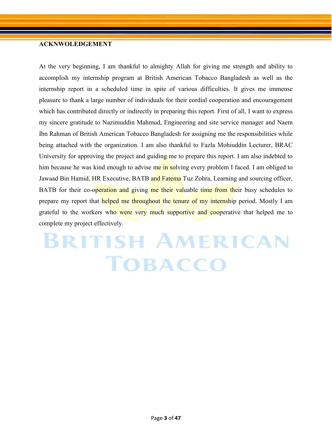#### **ACKNWOLEDGEMENT**

At the very beginning, I am thankful to almighty Allah for giving me strength and ability to accomplish my internship program at British American Tobacco Bangladesh as well as the internship report in a scheduled time in spite of various difficulties. It gives me immense pleasure to thank a large number of individuals for their cordial cooperation and encouragement which has contributed directly or indirectly in preparing this report. First of all, I want to express my sincere gratitude to Nazimuddin Mahmud, Engineering and site service manager and Naem Ibn Rahman of British American Tobacco Bangladesh for assigning me the responsibilities while being attached with the organization. I am also thankful to Fazla Mohiuddin Lecturer, BRAC University for approving the project and guiding me to prepare this report. I am also indebted to him because he was kind enough to advise me in solving every problem I faced. I am obliged to Jawaad Bin Hamid, HR Executive, BATB and Fatema Tuz Zohra, Learning and sourcing officer, BATB for their co-operation and giving me their valuable time from their busy schedules to prepare my report that helped me throughout the tenure of my internship period. Mostly I am grateful to the workers who were very much supportive and cooperative that helped me to complete my project effectively.

### **BRITISH AMERICAN TOBACCO**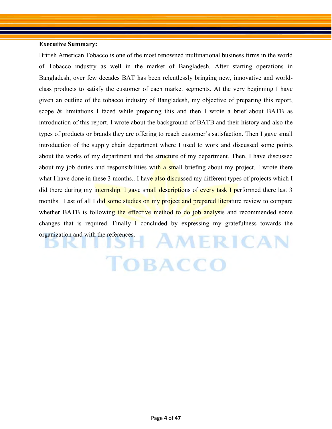#### **Executive Summary:**

British American Tobacco is one of the most renowned multinational business firms in the world of Tobacco industry as well in the market of Bangladesh. After starting operations in Bangladesh, over few decades BAT has been relentlessly bringing new, innovative and worldclass products to satisfy the customer of each market segments. At the very beginning I have given an outline of the tobacco industry of Bangladesh, my objective of preparing this report, scope & limitations I faced while preparing this and then I wrote a brief about BATB as introduction of this report. I wrote about the background of BATB and their history and also the types of products or brands they are offering to reach customer's satisfaction. Then I gave small introduction of the supply chain department where I used to work and discussed some points about the works of my department and the structure of my department. Then, I have discussed about my job duties and responsibilities with a small briefing about my project. I wrote there what I have done in these 3 months.. I have also discussed my different types of projects which I did there during my internship. I gave small descriptions of every task I performed there last 3 months. Last of all I did some studies on my project and prepared literature review to compare whether BATB is following the effective method to do job analysis and recommended some changes that is required. Finally I concluded by expressing my gratefulness towards the organization and with the references.AMERICAN

TOBACCO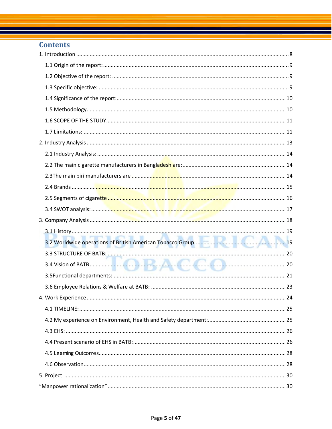#### **Contents**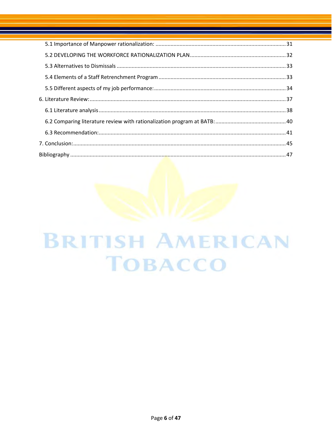# **BRITISH AMERICAN TOBACCO**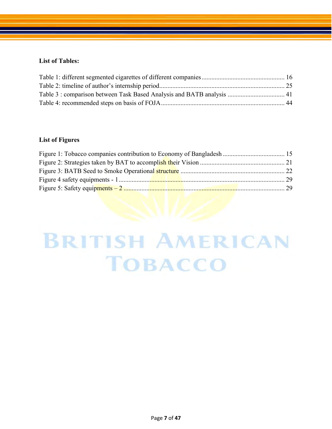#### **List of Tables:**

#### **List of Figures**

## **BRITISH AMERICAN TOBACCO**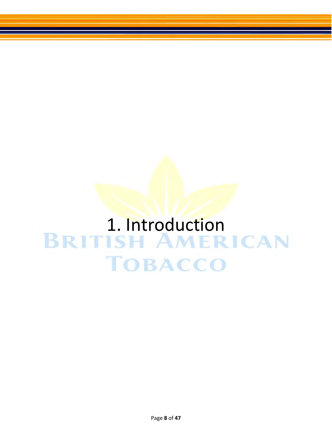# <span id="page-7-0"></span>1. Introduction<br>BRITISH AMERICAN **TOBACCO**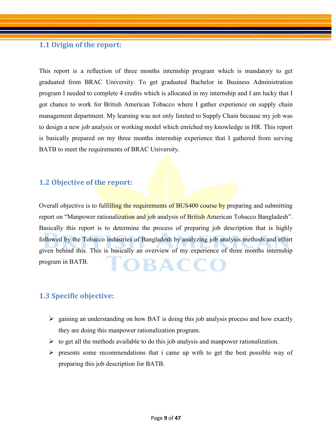#### <span id="page-8-0"></span>**1.1 Origin of the report:**

This report is a reflection of three months internship program which is mandatory to get graduated from BRAC University. To get graduated Bachelor in Business Administration program I needed to complete 4 credits which is allocated in my internship and I am lucky that I got chance to work for British American Tobacco where I gather experience on supply chain management department. My learning was not only limited to Supply Chain because my job was to design a new job analysis or working model which enriched my knowledge in HR. This report is basically prepared on my three months internship experience that I gathered from serving BATB to meet the requirements of BRAC University.

#### <span id="page-8-1"></span>**1.2 Objective of the report:**

Overall objective is to fulfilling the requirements of BUS400 course by preparing and submitting report on "Manpower rationalization and job analysis of British American Tobacco Bangladesh". Basically this report is to determine the process of preparing job description that is highly followed by the Tobacco industries of Bangladesh by analyzing job analysis methods and effort given behind this. This is basically an overview of my experience of three months internship program in BATB.

#### <span id="page-8-2"></span>**1.3 Specific objective:**

- $\triangleright$  gaining an understanding on how BAT is doing this job analysis process and how exactly they are doing this manpower rationalization program.
- $\triangleright$  to get all the methods available to do this job analysis and manpower rationalization.
- $\triangleright$  presents some recommendations that i came up with to get the best possible way of preparing this job description for BATB.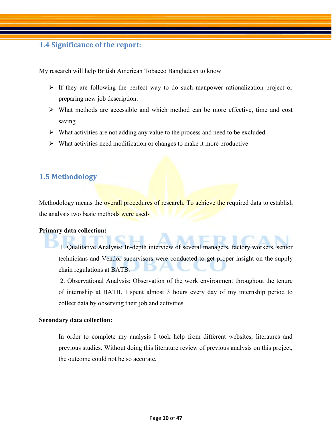#### <span id="page-9-0"></span>**1.4 Significance of the report:**

My research will help British American Tobacco Bangladesh to know

- $\triangleright$  If they are following the perfect way to do such manpower rationalization project or preparing new job description.
- $\triangleright$  What methods are accessible and which method can be more effective, time and cost saving
- $\triangleright$  What activities are not adding any value to the process and need to be excluded
- $\triangleright$  What activities need modification or changes to make it more productive

#### <span id="page-9-1"></span>**1.5 Methodology**

Methodology means the **overall procedures of research.** To achieve the required data to establish the analysis two basic methods were used-

#### **Primary data collection:**

1. Qualitative Analysis: In-depth interview of several managers, factory workers, senior technicians and Vendor supervisors were conducted to get proper insight on the supply chain regulations at BATB.

2. Observational Analysis: Observation of the work environment throughout the tenure of internship at BATB. I spent almost 3 hours every day of my internship period to collect data by observing their job and activities.

#### **Secondary data collection:**

<span id="page-9-2"></span>In order to complete my analysis I took help from different websites, literaures and previous studies. Without doing this literature review of previous analysis on this project, the outcome could not be so accurate.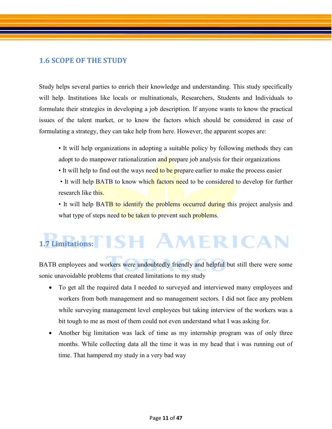#### **1.6 SCOPE OF THE STUDY**

Study helps several parties to enrich their knowledge and understanding. This study specifically will help. Institutions like locals or multinationals, Researchers, Students and Individuals to formulate their strategies in developing a job description. If anyone wants to know the practical issues of the talent market, or to know the factors which should be considered in case of formulating a strategy, they can take help from here. However, the apparent scopes are:

- It will help organizations in adopting a suitable policy by following methods they can adopt to do manpower rationalization and prepare job analysis for their organizations
- It will help to find out the ways need to be prepare earlier to make the process easier
- It will help BATB to know which factors need to be considered to develop for further research like this.

• It will help BATB to identify the problems occurred during this project analysis and what type of steps need to be taken to prevent such problems.

### <span id="page-10-0"></span>1.7 Limitations: **ISH AMERICAN**

BATB employees and workers were undoubtedly friendly and helpful but still there were some sonic unavoidable problems that created limitations to my study

- To get all the required data I needed to surveyed and interviewed many employees and workers from both management and no management sectors. I did not face any problem while surveying management level employees but taking interview of the workers was a bit tough to me as most of them could not even understand what I was asking for.
- Another big limitation was lack of time as my internship program was of only three months. While collecting data all the time it was in my head that i was running out of time. That hampered my study in a very bad way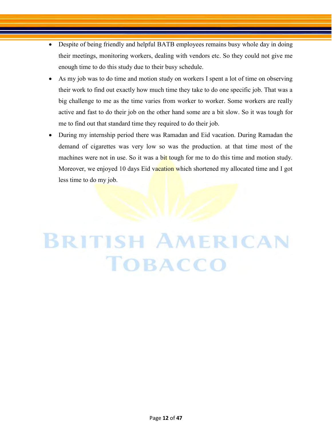- Despite of being friendly and helpful BATB employees remains busy whole day in doing their meetings, monitoring workers, dealing with vendors etc. So they could not give me enough time to do this study due to their busy schedule.
- As my job was to do time and motion study on workers I spent a lot of time on observing their work to find out exactly how much time they take to do one specific job. That was a big challenge to me as the time varies from worker to worker. Some workers are really active and fast to do their job on the other hand some are a bit slow. So it was tough for me to find out that standard time they required to do their job.
- During my internship period there was Ramadan and Eid vacation. During Ramadan the demand of cigarettes was very low so was the production. at that time most of the machines were not in use. So it was a bit tough for me to do this time and motion study. Moreover, we enjoyed 10 days Eid vacation which shortened my allocated time and I got less time to do my job.

# **BRITISH AMERICAN TOBACCO**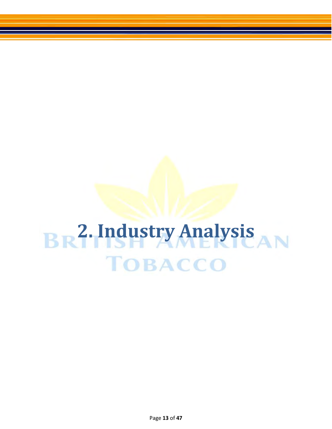# <span id="page-12-0"></span>**2. Industry Analysis TOBACCO**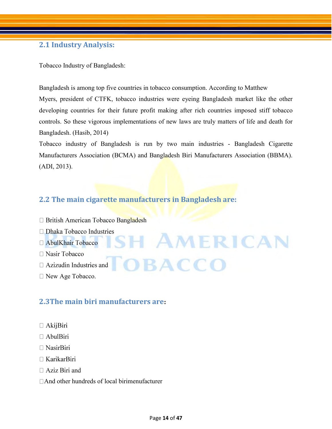#### <span id="page-13-0"></span>**2.1 Industry Analysis:**

Tobacco Industry of Bangladesh:

Bangladesh is among top five countries in tobacco consumption. According to Matthew Myers, president of CTFK, tobacco industries were eyeing Bangladesh market like the other developing countries for their future profit making after rich countries imposed stiff tobacco controls. So these vigorous implementations of new laws are truly matters of life and death for Bangladesh. (Hasib, 2014)

Tobacco industry of Bangladesh is run by two main industries - Bangladesh Cigarette Manufacturers Association (BCMA) and Bangladesh Biri Manufacturers Association (BBMA). (ADI, 2013).

OBACCO

#### <span id="page-13-1"></span>**2.2 The main cigarette manufacturers in Bangladesh are:**

- □ British American Tobacco Bangladesh
- $\Box$  Dhaka Tobacco Industries ISH AMERICAN
- AbulKhair Tobacco
- $\Box$  Nasir Tobacco
- $\Box$  Azizudin Industries and
- <span id="page-13-2"></span>□ New Age Tobacco.

#### **2.3The main biri manufacturers are:**

- $\Box$  AkijBiri
- $\Box$  AbulBiri
- $\Box$  NasirBiri
- $\Box$  KarikarBiri
- $\Box$  Aziz Biri and
- □ And other hundreds of local birimenufacturer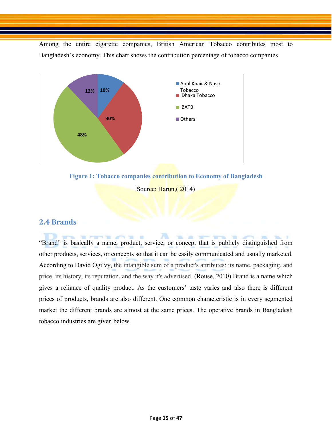Among the entire cigarette companies, British American Tobacco contributes most to Bangladesh's economy. This chart shows the contribution percentage of tobacco companies



<span id="page-14-1"></span>

Source: Harun, (2014)

#### <span id="page-14-0"></span>**2.4 Brands**

"Brand" is basically a name, product, service, or concept that is publicly distinguished from other products, services, or concepts so that it can be easily communicated and usually marketed. According to David Ogilvy, the intangible sum of a product's attributes: its name, packaging, and price, its history, its reputation, and the way it's advertised. (Rouse, 2010) Brand is a name which gives a reliance of quality product. As the customers' taste varies and also there is different prices of products, brands are also different. One common characteristic is in every segmented market the different brands are almost at the same prices. The operative brands in Bangladesh tobacco industries are given below.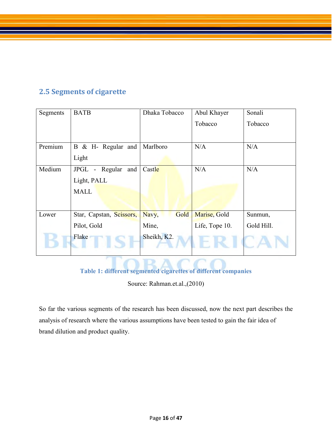#### <span id="page-15-0"></span>**2.5 Segments of cigarette**

| Segments | <b>BATB</b>                                               | Dhaka Tobacco | Abul Khayer    | Sonali     |
|----------|-----------------------------------------------------------|---------------|----------------|------------|
|          |                                                           |               | Tobacco        | Tobacco    |
|          |                                                           |               |                |            |
| Premium  | B & H- Regular and                                        | Marlboro      | N/A            | N/A        |
|          | Light                                                     |               |                |            |
| Medium   | and<br>Regular<br><b>JPGL</b><br>$\overline{\phantom{0}}$ | Castle        | N/A            | N/A        |
|          | Light, PALL                                               |               |                |            |
|          | <b>MALL</b>                                               |               |                |            |
|          |                                                           |               |                |            |
| Lower    | Star, Capstan, Scissors,                                  | Gold<br>Navy, | Marise, Gold   | Sunmun,    |
|          | Pilot, Gold                                               | Mine,         | Life, Tope 10. | Gold Hill. |
|          | Flake                                                     | Sheikh, K2.   |                |            |

**Table 1: different segmented cigarettes of different companies** 

Source: Rahman.et.al.,(2010)

<span id="page-15-1"></span>So far the various segments of the research has been discussed, now the next part describes the analysis of research where the various assumptions have been tested to gain the fair idea of brand dilution and product quality.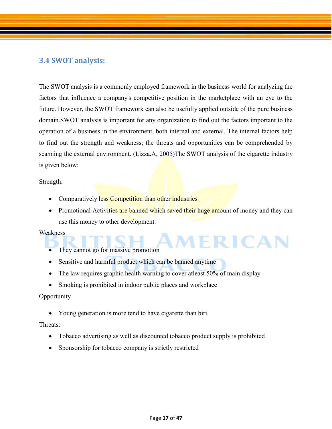#### <span id="page-16-0"></span>**3.4 SWOT analysis:**

The SWOT analysis is a commonly employed framework in the business world for analyzing the factors that influence a company's competitive position in the marketplace with an eye to the future. However, the SWOT framework can also be usefully applied outside of the pure business domain.SWOT analysis is important for any organization to find out the factors important to the operation of a business in the environment, both internal and external. The internal factors help to find out the strength and weakness; the threats and opportunities can be comprehended by scanning the external environment. (Lizza.A, 2005)The SWOT analysis of the cigarette industry is given below:

#### Strength:

- Comparatively less Competition than other industries
- Promotional Activities are banned which saved their huge amount of money and they can use this money to other development.

MERICAN

#### **Weakness**

- They cannot go for massive promotion
- Sensitive and harmful product which can be banned anytime
- The law requires graphic health warning to cover at least 50% of main display
- Smoking is prohibited in indoor public places and workplace

#### **Opportunity**

Young generation is more tend to have cigarette than biri.

#### Threats:

- Tobacco advertising as well as discounted tobacco product supply is prohibited
- Sponsorship for tobacco company is strictly restricted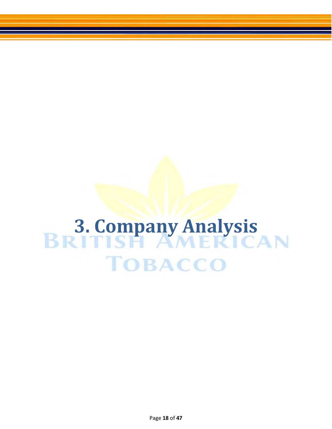# <span id="page-17-0"></span>**3. Company Analysis<br>BRITISH AMERICAN TOBACCO**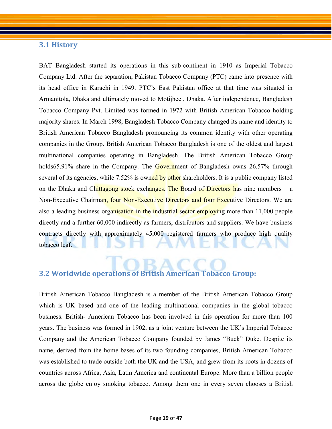#### <span id="page-18-0"></span>**3.1 History**

BAT Bangladesh started its operations in this sub-continent in 1910 as Imperial Tobacco Company Ltd. After the separation, Pakistan Tobacco Company (PTC) came into presence with its head office in Karachi in 1949. PTC's East Pakistan office at that time was situated in Armanitola, Dhaka and ultimately moved to Motijheel, Dhaka. After independence, Bangladesh Tobacco Company Pvt. Limited was formed in 1972 with British American Tobacco holding majority shares. In March 1998, Bangladesh Tobacco Company changed its name and identity to British American Tobacco Bangladesh pronouncing its common identity with other operating companies in the Group. British American Tobacco Bangladesh is one of the oldest and largest multinational companies operating in Bangladesh. The British American Tobacco Group holds65.91% share in the Company. The Government of Bangladesh owns 26.57% through several of its agencies, while 7.52% is owned by other shareholders. It is a public company listed on the Dhaka and Chittagong stock exchanges. The Board of Directors has nine members  $-$  a Non-Executive Chairman, four Non-Executive Directors and four Executive Directors. We are also a leading business organisation in the industrial sector employing more than 11,000 people directly and a further 60,000 indirectly as farmers, distributors and suppliers. We have business contracts directly with approximately 45,000 registered farmers who produce high quality tobacco leaf.

#### <span id="page-18-1"></span>**3.2 Worldwide operations of British American Tobacco Group:**

British American Tobacco Bangladesh is a member of the British American Tobacco Group which is UK based and one of the leading multinational companies in the global tobacco business. British- American Tobacco has been involved in this operation for more than 100 years. The business was formed in 1902, as a joint venture between the UK's Imperial Tobacco Company and the American Tobacco Company founded by James "Buck" Duke. Despite its name, derived from the home bases of its two founding companies, British American Tobacco was established to trade outside both the UK and the USA, and grew from its roots in dozens of countries across Africa, Asia, Latin America and continental Europe. More than a billion people across the globe enjoy smoking tobacco. Among them one in every seven chooses a British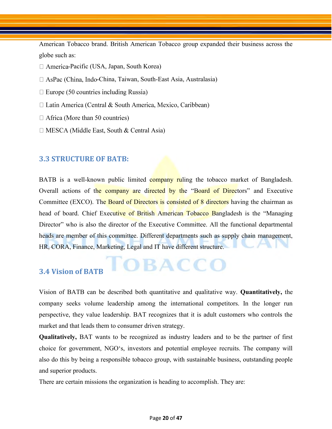American Tobacco brand. British American Tobacco group expanded their business across the globe such as:

- $\Box$  America-Pacific (USA, Japan, South Korea)
- $\Box$  AsPac (China, Indo-China, Taiwan, South-East Asia, Australasia)
- $\Box$  Europe (50 countries including Russia)
- $\Box$  Latin America (Central & South America, Mexico, Caribbean)
- $\Box$  Africa (More than 50 countries)
- $\Box$  MESCA (Middle East, South & Central Asia)

#### <span id="page-19-0"></span>**3.3 STRUCTURE OF BATB:**

BATB is a well-known public limited company ruling the tobacco market of Bangladesh. Overall actions of the company are directed by the "Board of Directors" and Executive Committee (EXCO). The Board of Directors is consisted of 8 directors having the chairman as head of board. Chief Executive of British American Tobacco Bangladesh is the "Managing Director" who is also the director of the Executive Committee. All the functional departmental heads are member of this committee. Different departments such as supply chain management, HR, CORA, Finance, Marketing, Legal and IT have different structure.

#### <span id="page-19-1"></span>**3.4 Vision of BATB**

Vision of BATB can be described both quantitative and qualitative way. **Quantitatively,** the company seeks volume leadership among the international competitors. In the longer run perspective, they value leadership. BAT recognizes that it is adult customers who controls the market and that leads them to consumer driven strategy.

**OBACCO** 

**Qualitatively,** BAT wants to be recognized as industry leaders and to be the partner of first choice for government, NGO's, investors and potential employee recruits. The company will also do this by being a responsible tobacco group, with sustainable business, outstanding people and superior products.

There are certain missions the organization is heading to accomplish. They are: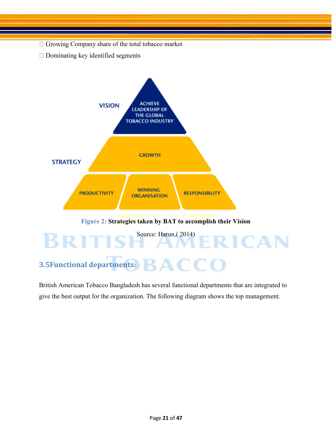- $\Box$  Growing Company share of the total tobacco market
- $\Box$  Dominating key identified segments



<span id="page-20-1"></span><span id="page-20-0"></span>British American Tobacco Bangladesh has several functional departments that are integrated to give the best output for the organization. The following diagram shows the top management.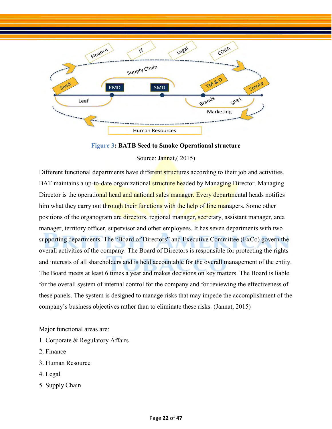

**Figure 3: BATB Seed to Smoke Operational structure** 

Source: Jannat, (2015)

<span id="page-21-0"></span>Different functional departments have different structures according to their job and activities. BAT maintains a up-to-date organizational structure headed by Managing Director. Managing Director is the operational head and national sales manager. Every departmental heads notifies him what they carry out through their functions with the help of line managers. Some other positions of the organogram are directors, regional manager, secretary, assistant manager, area manager, territory officer, supervisor and other employees. It has seven departments with two supporting departments. The "Board of Directors" and Executive Committee (ExCo) govern the overall activities of the company. The Board of Directors is responsible for protecting the rights and interests of all shareholders and is held accountable for the overall management of the entity. The Board meets at least 6 times a year and makes decisions on key matters. The Board is liable for the overall system of internal control for the company and for reviewing the effectiveness of these panels. The system is designed to manage risks that may impede the accomplishment of the company's business objectives rather than to eliminate these risks. (Jannat, 2015)

Major functional areas are:

- 1. Corporate & Regulatory Affairs
- 2. Finance
- 3. Human Resource
- 4. Legal
- 5. Supply Chain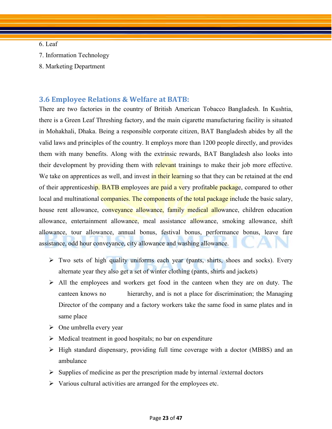#### 6. Leaf

- 7. Information Technology
- <span id="page-22-0"></span>8. Marketing Department

#### **3.6 Employee Relations & Welfare at BATB:**

There are two factories in the country of British American Tobacco Bangladesh. In Kushtia, there is a Green Leaf Threshing factory, and the main cigarette manufacturing facility is situated in Mohakhali, Dhaka. Being a responsible corporate citizen, BAT Bangladesh abides by all the valid laws and principles of the country. It employs more than 1200 people directly, and provides them with many benefits. Along with the extrinsic rewards, BAT Bangladesh also looks into their development by providing them with relevant trainings to make their job more effective. We take on apprentices as well, and invest in their learning so that they can be retained at the end of their apprenticeship. BATB employees are paid a very profitable package, compared to other local and multinational companies. The components of the total package include the basic salary, house rent allowance, conveyance allowance, family medical allowance, children education allowance, entertainment allowance, meal assistance allowance, smoking allowance, shift allowance, tour allowance, annual bonus, festival bonus, performance bonus, leave fare assistance, odd hour conveyance, city allowance and washing allowance.

- $\triangleright$  Two sets of high quality uniforms each year (pants, shirts, shoes and socks). Every alternate year they also get a set of winter clothing (pants, shirts and jackets)
- $\triangleright$  All the employees and workers get food in the canteen when they are on duty. The canteen knows no hierarchy, and is not a place for discrimination; the Managing Director of the company and a factory workers take the same food in same plates and in same place
- $\triangleright$  One umbrella every year
- $\triangleright$  Medical treatment in good hospitals; no bar on expenditure
- $\triangleright$  High standard dispensary, providing full time coverage with a doctor (MBBS) and an ambulance
- $\triangleright$  Supplies of medicine as per the prescription made by internal /external doctors
- $\triangleright$  Various cultural activities are arranged for the employees etc.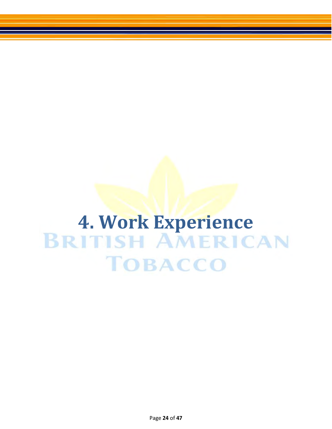# <span id="page-23-0"></span>**4. Work Experience<br>BRITISH AMERICAN TOBACCO**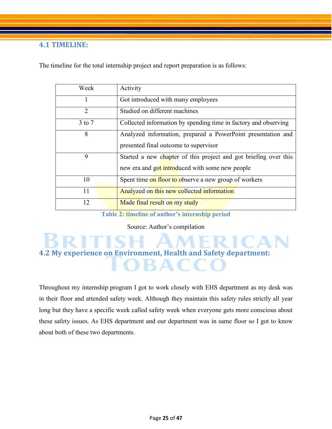#### <span id="page-24-0"></span>**4.1 TIMELINE:**

The timeline for the total internship project and report preparation is as follows:

| Week           | Activity                                                         |
|----------------|------------------------------------------------------------------|
| 1              | Got introduced with many employees                               |
| $\overline{2}$ | Studied on different machines                                    |
| $3$ to $7$     | Collected information by spending time in factory and observing  |
| 8              | Analyzed information, prepared a PowerPoint presentation and     |
|                | presented final outcome to supervisor                            |
| 9              | Started a new chapter of this project and got briefing over this |
|                | new era and got introduced with some new people                  |
| 10             | Spent time on floor to observe a new group of workers            |
| 11             | Analyzed on this new collected information                       |
| 12             | Made final result on my study                                    |

**Table 2: timeline of author's internship period** 

Source: Author's compilation

<span id="page-24-3"></span><span id="page-24-1"></span>**4.2 My experience on Environment, Health and Safety department:** 

<span id="page-24-2"></span>Throughout my internship program I got to work closely with EHS department as my desk was in their floor and attended safety week. Although they maintain this safety rules strictly all year long but they have a specific week called safety week when everyone gets more conscious about these safety issues. As EHS department and our department was in same floor so I got to know about both of these two departments.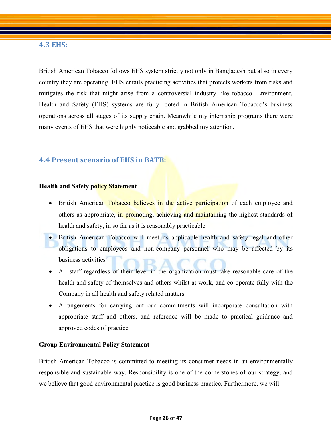#### **4.3 EHS:**

British American Tobacco follows EHS system strictly not only in Bangladesh but al so in every country they are operating. EHS entails practicing activities that protects workers from risks and mitigates the risk that might arise from a controversial industry like tobacco. Environment, Health and Safety (EHS) systems are fully rooted in British American Tobacco's business operations across all stages of its supply chain. Meanwhile my internship programs there were many events of EHS that were highly noticeable and grabbed my attention.

#### <span id="page-25-0"></span>**4.4 Present scenario of EHS in BATB:**

#### **Health and Safety policy Statement**

- British American Tobacco believes in the active participation of each employee and others as appropriate, in promoting, achieving and maintaining the highest standards of health and safety, in so far as it is reasonably practicable
- British American Tobacco will meet its applicable health and safety legal and other obligations to employees and non-company personnel who may be affected by its business activities
- All staff regardless of their level in the organization must take reasonable care of the health and safety of themselves and others whilst at work, and co-operate fully with the Company in all health and safety related matters
- Arrangements for carrying out our commitments will incorporate consultation with appropriate staff and others, and reference will be made to practical guidance and approved codes of practice

#### **Group Environmental Policy Statement**

British American Tobacco is committed to meeting its consumer needs in an environmentally responsible and sustainable way. Responsibility is one of the cornerstones of our strategy, and we believe that good environmental practice is good business practice. Furthermore, we will: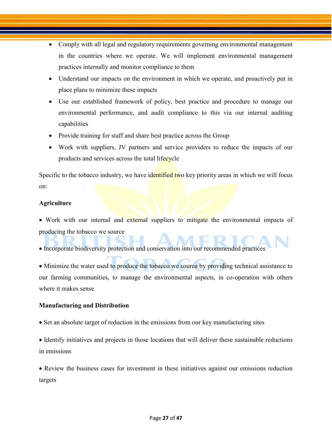- Comply with all legal and regulatory requirements governing environmental management in the countries where we operate. We will implement environmental management practices internally and monitor compliance to them
- Understand our impacts on the environment in which we operate, and proactively put in place plans to minimize these impacts
- Use our established framework of policy, best practice and procedure to manage our environmental performance, and audit compliance to this via our internal auditing capabilities
- Provide training for staff and share best practice across the Group
- Work with suppliers, JV partners and service providers to reduce the impacts of our products and services across the total lifecycle

Specific to the tobacco industry, we have identified two key priority areas in which we will focus on:

#### **Agriculture**

• Work with our internal and external suppliers to mitigate the environmental impacts of producing the tobacco we source

• Incorporate biodiversity protection and conservation into our recommended practices

• Minimize the water used to produce the tobacco we source by providing technical assistance to our farming communities, to manage the environmental aspects, in co-operation with others where it makes sense

#### **Manufacturing and Distribution**

• Set an absolute target of reduction in the emissions from our key manufacturing sites

 Identify initiatives and projects in those locations that will deliver these sustainable reductions in emissions

• Review the business cases for investment in these initiatives against our emissions reduction targets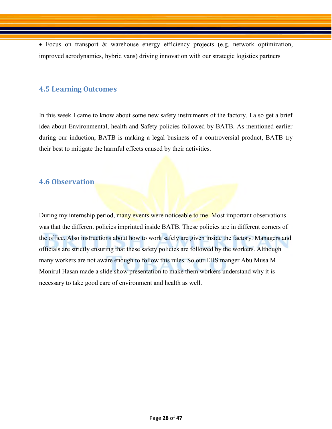Focus on transport & warehouse energy efficiency projects (e.g. network optimization, improved aerodynamics, hybrid vans) driving innovation with our strategic logistics partners

#### <span id="page-27-0"></span>**4.5 Learning Outcomes**

In this week I came to know about some new safety instruments of the factory. I also get a brief idea about Environmental, health and Safety policies followed by BATB. As mentioned earlier during our induction, BATB is making a legal business of a controversial product, BATB try their best to mitigate the harmful effects caused by their activities.

#### <span id="page-27-1"></span>**4.6 Observation**

During my internship period, many events were noticeable to me. Most important observations was that the different policies imprinted inside BATB. These policies are in different corners of the office. Also instructions about how to work safely are given inside the factory. Managers and officials are strictly ensuring that these safety policies are followed by the workers. Although many workers are not aware enough to follow this rules. So our EHS manger Abu Musa M Monirul Hasan made a slide show presentation to make them workers understand why it is necessary to take good care of environment and health as well.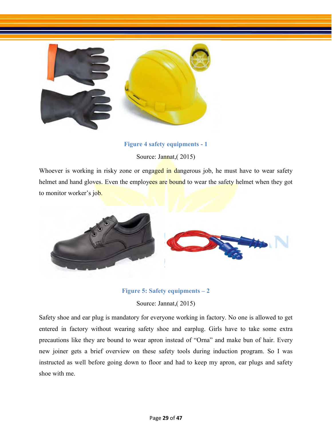

#### **Figure 4 safety equipments - 1**

Source: Jannat,( 2015)

<span id="page-28-0"></span>Whoever is working in risky zone or engaged in dangerous job, he must have to wear safety helmet and hand gloves. Even the employees are bound to wear the safety helmet when they got to monitor worker's job.



#### **Figure 5: Safety equipments – 2**

Source: Jannat,( 2015)

<span id="page-28-1"></span>Safety shoe and ear plug is mandatory for everyone working in factory. No one is allowed to get entered in factory without wearing safety shoe and earplug. Girls have to take some extra precautions like they are bound to wear apron instead of "Orna" and make bun of hair. Every new joiner gets a brief overview on these safety tools during induction program. So I was instructed as well before going down to floor and had to keep my apron, ear plugs and safety shoe with me.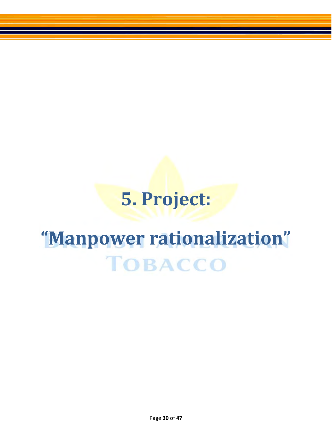### **5. Project:**

## <span id="page-29-1"></span><span id="page-29-0"></span>**"Manpower rationalization"TOBACCO**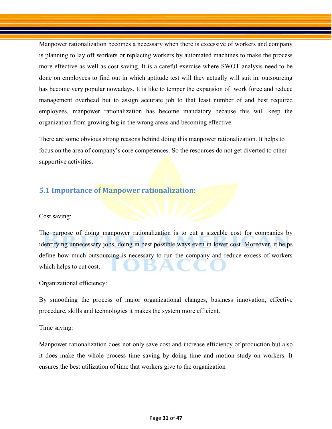Manpower rationalization becomes a necessary when there is excessive of workers and company is planning to lay off workers or replacing workers by automated machines to make the process more effective as well as cost saving. It is a careful exercise where SWOT analysis need to be done on employees to find out in which aptitude test will they actually will suit in. outsourcing has become very popular nowadays. It is like to temper the expansion of work force and reduce management overhead but to assign accurate job to that least number of and best required employees, manpower rationalization has become mandatory because this will keep the organization from growing big in the wrong areas and becoming effective.

There are some obvious strong reasons behind doing this manpower rationalization. It helps to focus on the area of company's core competences. So the resources do not get diverted to other supportive activities.

#### <span id="page-30-0"></span>**5.1 Importance of Manpower rationalization:**

Cost saving:

The purpose of doing manpower rationalization is to cut a sizeable cost for companies by identifying unnecessary jobs, doing in best possible ways even in lower cost. Moreover, it helps define how much outsourcing is necessary to run the company and reduce excess of workers which helps to cut cost.

Organizational efficiency:

By smoothing the process of major organizational changes, business innovation, effective procedure, skills and technologies it makes the system more efficient.

Time saving:

Manpower rationalization does not only save cost and increase efficiency of production but also it does make the whole process time saving by doing time and motion study on workers. It ensures the best utilization of time that workers give to the organization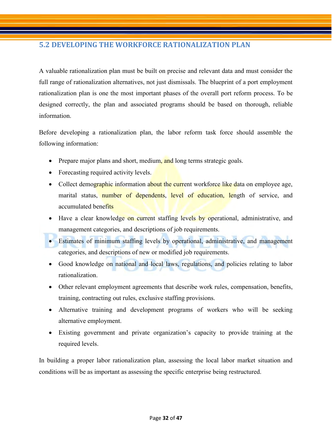#### <span id="page-31-0"></span>**5.2 DEVELOPING THE WORKFORCE RATIONALIZATION PLAN**

A valuable rationalization plan must be built on precise and relevant data and must consider the full range of rationalization alternatives, not just dismissals. The blueprint of a port employment rationalization plan is one the most important phases of the overall port reform process. To be designed correctly, the plan and associated programs should be based on thorough, reliable information.

Before developing a rationalization plan, the labor reform task force should assemble the following information:

- Prepare major plans and short, medium, and long terms strategic goals.
- Forecasting required activity levels.
- Collect demographic information about the current workforce like data on employee age, marital status, number of dependents, level of education, length of service, and accumulated benefits
- Have a clear knowledge on current staffing levels by operational, administrative, and management categories, and descriptions of job requirements.
- Estimates of minimum staffing levels by operational, administrative, and management categories, and descriptions of new or modified job requirements.
- Good knowledge on national and local laws, regulations, and policies relating to labor rationalization.
- Other relevant employment agreements that describe work rules, compensation, benefits, training, contracting out rules, exclusive staffing provisions.
- Alternative training and development programs of workers who will be seeking alternative employment.
- Existing government and private organization's capacity to provide training at the required levels.

In building a proper labor rationalization plan, assessing the local labor market situation and conditions will be as important as assessing the specific enterprise being restructured.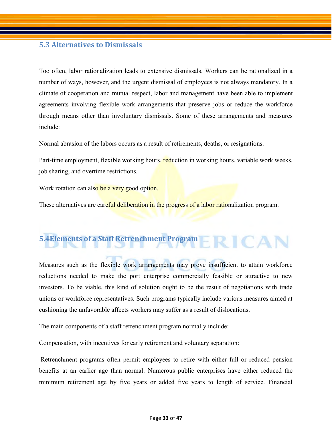#### <span id="page-32-0"></span>**5.3 Alternatives to Dismissals**

Too often, labor rationalization leads to extensive dismissals. Workers can be rationalized in a number of ways, however, and the urgent dismissal of employees is not always mandatory. In a climate of cooperation and mutual respect, labor and management have been able to implement agreements involving flexible work arrangements that preserve jobs or reduce the workforce through means other than involuntary dismissals. Some of these arrangements and measures include:

Normal abrasion of the labors occurs as a result of retirements, deaths, or resignations.

Part-time employment, flexible working hours, reduction in working hours, variable work weeks, job sharing, and overtime restrictions.

Work rotation can also be a very good option.

These alternatives are careful deliberation in the progress of a labor rationalization program.

### <span id="page-32-1"></span>**5.4Elements of a Staff Retrenchment Program**

Measures such as the flexible work arrangements may prove insufficient to attain workforce reductions needed to make the port enterprise commercially feasible or attractive to new investors. To be viable, this kind of solution ought to be the result of negotiations with trade unions or workforce representatives. Such programs typically include various measures aimed at cushioning the unfavorable affects workers may suffer as a result of dislocations.

The main components of a staff retrenchment program normally include:

Compensation, with incentives for early retirement and voluntary separation:

Retrenchment programs often permit employees to retire with either full or reduced pension benefits at an earlier age than normal. Numerous public enterprises have either reduced the minimum retirement age by five years or added five years to length of service. Financial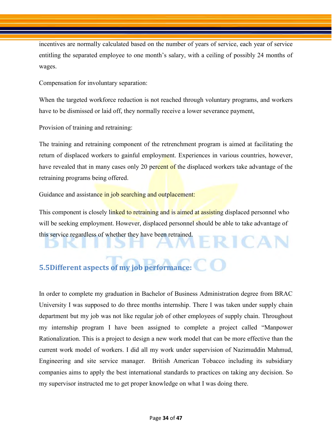incentives are normally calculated based on the number of years of service, each year of service entitling the separated employee to one month's salary, with a ceiling of possibly 24 months of wages.

Compensation for involuntary separation:

When the targeted workforce reduction is not reached through voluntary programs, and workers have to be dismissed or laid off, they normally receive a lower severance payment,

Provision of training and retraining:

The training and retraining component of the retrenchment program is aimed at facilitating the return of displaced workers to gainful employment. Experiences in various countries, however, have revealed that in many cases only 20 percent of the displaced workers take advantage of the retraining programs being offered.

Guidance and assistance in job searching and outplacement:

This component is closely linked to retraining and is aimed at assisting displaced personnel who will be seeking employment. However, displaced personnel should be able to take advantage of this service regardless of whether they have been retrained. RICAN

#### <span id="page-33-0"></span>**5.5Different aspects of my job performance:**

In order to complete my graduation in Bachelor of Business Administration degree from BRAC University I was supposed to do three months internship. There I was taken under supply chain department but my job was not like regular job of other employees of supply chain. Throughout my internship program I have been assigned to complete a project called "Manpower Rationalization. This is a project to design a new work model that can be more effective than the current work model of workers. I did all my work under supervision of Nazimuddin Mahmud, Engineering and site service manager. British American Tobacco including its subsidiary companies aims to apply the best international standards to practices on taking any decision. So my supervisor instructed me to get proper knowledge on what I was doing there.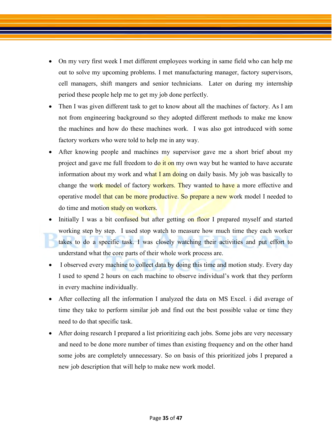- On my very first week I met different employees working in same field who can help me out to solve my upcoming problems. I met manufacturing manager, factory supervisors, cell managers, shift mangers and senior technicians. Later on during my internship period these people help me to get my job done perfectly.
- Then I was given different task to get to know about all the machines of factory. As I am not from engineering background so they adopted different methods to make me know the machines and how do these machines work. I was also got introduced with some factory workers who were told to help me in any way.
- After knowing people and machines my supervisor gave me a short brief about my project and gave me full freedom to do it on my own way but he wanted to have accurate information about my work and what I am doing on daily basis. My job was basically to change the work model of factory workers. They wanted to have a more effective and operative model that can be more productive. So prepare a new work model I needed to do time and motion study on workers.
- Initially I was a bit confused but after getting on floor I prepared myself and started working step by step. I used stop watch to measure how much time they each worker takes to do a specific task. I was closely watching their activities and put effort to understand what the core parts of their whole work process are.
- I observed every machine to collect data by doing this time and motion study. Every day I used to spend 2 hours on each machine to observe individual's work that they perform in every machine individually.
- After collecting all the information I analyzed the data on MS Excel. i did average of time they take to perform similar job and find out the best possible value or time they need to do that specific task.
- After doing research I prepared a list prioritizing each jobs. Some jobs are very necessary and need to be done more number of times than existing frequency and on the other hand some jobs are completely unnecessary. So on basis of this prioritized jobs I prepared a new job description that will help to make new work model.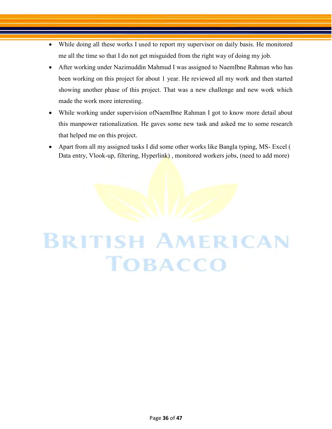- While doing all these works I used to report my supervisor on daily basis. He monitored me all the time so that I do not get misguided from the right way of doing my job.
- After working under Nazimuddin Mahmud I was assigned to NaemIbne Rahman who has been working on this project for about 1 year. He reviewed all my work and then started showing another phase of this project. That was a new challenge and new work which made the work more interesting.
- While working under supervision ofNaemIbne Rahman I got to know more detail about this manpower rationalization. He gaves some new task and asked me to some research that helped me on this project.
- Apart from all my assigned tasks I did some other works like Bangla typing, MS- Excel ( Data entry, Vlook-up, filtering, Hyperlink), monitored workers jobs, (need to add more)

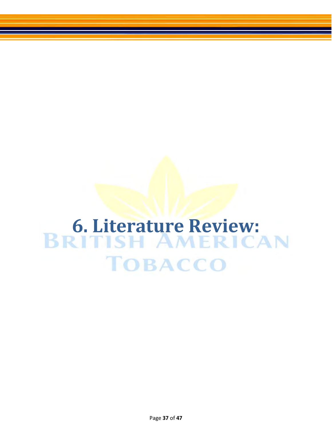# <span id="page-36-0"></span>**6. Literature Review:<br>BRITISH AMERICAN TOBACCO**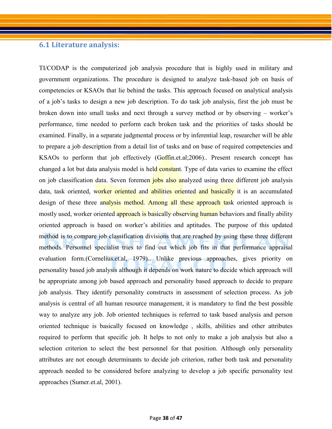#### <span id="page-37-0"></span>**6.1 Literature analysis:**

TI/CODAP is the computerized job analysis procedure that is highly used in military and government organizations. The procedure is designed to analyze task-based job on basis of competencies or KSAOs that lie behind the tasks. This approach focused on analytical analysis of a job's tasks to design a new job description. To do task job analysis, first the job must be broken down into small tasks and next through a survey method or by observing – worker's performance, time needed to perform each broken task and the priorities of tasks should be examined. Finally, in a separate judgmental process or by inferential leap, researcher will be able to prepare a job description from a detail list of tasks and on base of required competencies and KSAOs to perform that job effectively (Goffin.et.al;2006).. Present research concept has changed a lot but data analysis model is held constant. Type of data varies to examine the effect on job classification data. Seven foremen jobs also analyzed using three different job analysis data, task oriented, worker oriented and abilities oriented and basically it is an accumulated design of these three analysis method. Among all these approach task oriented approach is mostly used, worker oriented approach is basically observing human behaviors and finally ability oriented approach is based on worker's abilities and aptitudes. The purpose of this updated method is to compare job classification divisions that are reached by using these three different methods. Personnel specialist tries to find out which job fits in that performance appraisal evaluation form.(Cornelius.et.al, 1979).. Unlike previous approaches, gives priority on personality based job analysis although it depends on work nature to decide which approach will be appropriate among job based approach and personality based approach to decide to prepare job analysis. They identify personality constructs in assessment of selection process. As job analysis is central of all human resource management, it is mandatory to find the best possible way to analyze any job. Job oriented techniques is referred to task based analysis and person oriented technique is basically focused on knowledge , skills, abilities and other attributes required to perform that specific job. It helps to not only to make a job analysis but also a selection criterion to select the best personnel for that position. Although only personality attributes are not enough determinants to decide job criterion, rather both task and personality approach needed to be considered before analyzing to develop a job specific personality test approaches (Sumer.et.al, 2001).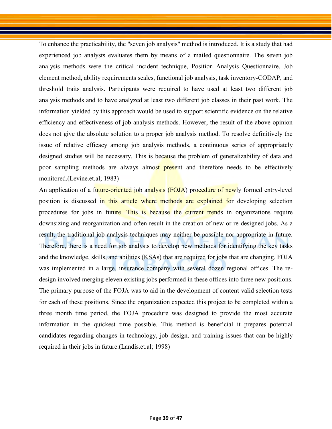To enhance the practicability, the "seven job analysis" method is introduced. It is a study that had experienced job analysts evaluates them by means of a mailed questionnaire. The seven job analysis methods were the critical incident technique, Position Analysis Questionnaire, Job element method, ability requirements scales, functional job analysis, task inventory-CODAP, and threshold traits analysis. Participants were required to have used at least two different job analysis methods and to have analyzed at least two different job classes in their past work. The information yielded by this approach would be used to support scientific evidence on the relative efficiency and effectiveness of job analysis methods. However, the result of the above opinion does not give the absolute solution to a proper job analysis method. To resolve definitively the issue of relative efficacy among job analysis methods, a continuous series of appropriately designed studies will be necessary. This is because the problem of generalizability of data and poor sampling methods are always almost present and therefore needs to be effectively monitored.(Levine.et.al; 1983)

An application of a future-oriented job analysis (FOJA) procedure of newly formed entry-level position is discussed in this article where methods are explained for developing selection procedures for jobs in future. This is because the current trends in organizations require downsizing and reorganization and often result in the creation of new or re-designed jobs. As a result, the traditional job analysis techniques may neither be possible nor appropriate in future. Therefore, there is a need for job analysts to develop new methods for identifying the key tasks and the knowledge, skills, and abilities (KSAs) that are required for jobs that are changing. FOJA was implemented in a large, insurance company with several dozen regional offices. The redesign involved merging eleven existing jobs performed in these offices into three new positions. The primary purpose of the FOJA was to aid in the development of content valid selection tests for each of these positions. Since the organization expected this project to be completed within a three month time period, the FOJA procedure was designed to provide the most accurate information in the quickest time possible. This method is beneficial it prepares potential candidates regarding changes in technology, job design, and training issues that can be highly required in their jobs in future.(Landis.et.al; 1998)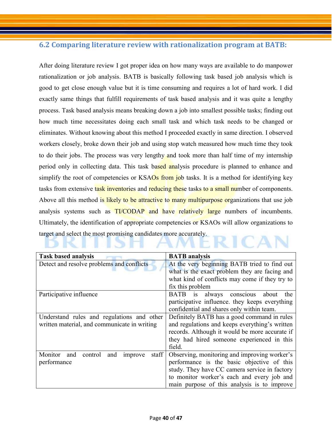#### <span id="page-39-0"></span>**6.2 Comparing literature review with rationalization program at BATB:**

After doing literature review I got proper idea on how many ways are available to do manpower rationalization or job analysis. BATB is basically following task based job analysis which is good to get close enough value but it is time consuming and requires a lot of hard work. I did exactly same things that fulfill requirements of task based analysis and it was quite a lengthy process. Task based analysis means breaking down a job into smallest possible tasks; finding out how much time necessitates doing each small task and which task needs to be changed or eliminates. Without knowing about this method I proceeded exactly in same direction. I observed workers closely, broke down their job and using stop watch measured how much time they took to do their jobs. The process was very lengthy and took more than half time of my internship period only in collecting data. This task based analysis procedure is planned to enhance and simplify the root of competencies or KSAOs from job tasks. It is a method for identifying key tasks from extensive task inventories and reducing these tasks to a small number of components. Above all this method is likely to be attractive to many multipurpose organizations that use job analysis systems such as TI/CODAP and have relatively large numbers of incumbents. Ultimately, the identification of appropriate competencies or KSAOs will allow organizations to target and select the most promising candidates more accurately. ICAN

| <b>Task based analysis</b>                           | <b>BATB</b> analysis                           |
|------------------------------------------------------|------------------------------------------------|
| Detect and resolve problems and conflicts            | At the very beginning BATB tried to find out   |
|                                                      | what is the exact problem they are facing and  |
|                                                      | what kind of conflicts may come if they try to |
|                                                      | fix this problem                               |
| Participative influence                              | conscious<br>always<br>BATB is<br>about<br>the |
|                                                      | participative influence, they keeps everything |
|                                                      | confidential and shares only within team.      |
| Understand rules and regulations and other           | Definitely BATB has a good command in rules    |
| written material, and communicate in writing         | and regulations and keeps everything's written |
|                                                      | records. Although it would be more accurate if |
|                                                      | they had hired someone experienced in this     |
|                                                      | field.                                         |
| staff<br>Monitor<br>and<br>control<br>and<br>improve | Observing, monitoring and improving worker's   |
| performance                                          | performance is the basic objective of this     |
|                                                      | study. They have CC camera service in factory  |
|                                                      | to monitor worker's each and every job and     |
|                                                      | main purpose of this analysis is to improve    |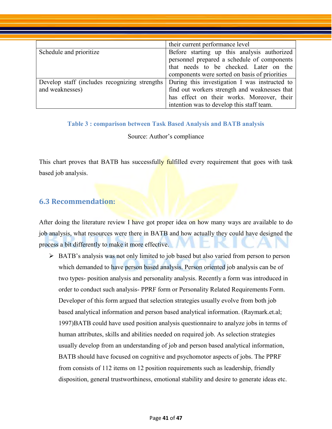|                                                                  | their current performance level                                                                                                                                                           |
|------------------------------------------------------------------|-------------------------------------------------------------------------------------------------------------------------------------------------------------------------------------------|
| Schedule and prioritize                                          | Before starting up this analysis authorized<br>personnel prepared a schedule of components<br>that needs to be checked. Later on the<br>components were sorted on basis of priorities     |
| Develop staff (includes recognizing strengths<br>and weaknesses) | During this investigation I was instructed to<br>find out workers strength and weaknesses that<br>has effect on their works. Moreover, their<br>intention was to develop this staff team. |

#### <span id="page-40-1"></span>**Table 3 : comparison between Task Based Analysis and BATB analysis**

#### Source: Author's compliance

This chart proves that BATB has successfully fulfilled every requirement that goes with task based job analysis.

#### <span id="page-40-0"></span>**6.3 Recommendation:**

After doing the literature review I have got proper idea on how many ways are available to do job analysis, what resources were there in BATB and how actually they could have designed the process a bit differently to make it more effective.

 $\triangleright$  BATB's analysis was not only limited to job based but also varied from person to person which demanded to have person based analysis. Person oriented job analysis can be of two types- position analysis and personality analysis. Recently a form was introduced in order to conduct such analysis- PPRF form or Personality Related Requirements Form. Developer of this form argued that selection strategies usually evolve from both job based analytical information and person based analytical information. (Raymark.et.al; 1997)BATB could have used position analysis questionnaire to analyze jobs in terms of human attributes, skills and abilities needed on required job. As selection strategies usually develop from an understanding of job and person based analytical information, BATB should have focused on cognitive and psychomotor aspects of jobs. The PPRF from consists of 112 items on 12 position requirements such as leadership, friendly disposition, general trustworthiness, emotional stability and desire to generate ideas etc.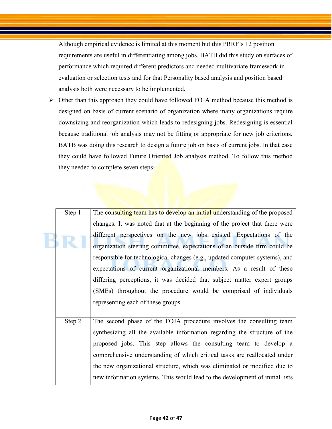Although empirical evidence is limited at this moment but this PRRF's 12 position requirements are useful in differentiating among jobs. BATB did this study on surfaces of performance which required different predictors and needed multivariate framework in evaluation or selection tests and for that Personality based analysis and position based analysis both were necessary to be implemented.

 $\triangleright$  Other than this approach they could have followed FOJA method because this method is designed on basis of current scenario of organization where many organizations require downsizing and reorganization which leads to redesigning jobs. Redesigning is essential because traditional job analysis may not be fitting or appropriate for new job criterions. BATB was doing this research to design a future job on basis of current jobs. In that case they could have followed Future Oriented Job analysis method. To follow this method they needed to complete seven steps-

| Step 1 | The consulting team has to develop an initial understanding of the proposed  |  |  |
|--------|------------------------------------------------------------------------------|--|--|
|        | changes. It was noted that at the beginning of the project that there were   |  |  |
|        | different perspectives on the new jobs existed. Expectations of the          |  |  |
|        | organization steering committee, expectations of an outside firm could be    |  |  |
|        | responsible for technological changes (e.g., updated computer systems), and  |  |  |
|        | expectations of current organizational members. As a result of these         |  |  |
|        | differing perceptions, it was decided that subject matter expert groups      |  |  |
|        | (SMEs) throughout the procedure would be comprised of individuals            |  |  |
|        | representing each of these groups.                                           |  |  |
|        |                                                                              |  |  |
| Step 2 | The second phase of the FOJA procedure involves the consulting team          |  |  |
|        | synthesizing all the available information regarding the structure of the    |  |  |
|        | proposed jobs. This step allows the consulting team to develop a             |  |  |
|        | comprehensive understanding of which critical tasks are reallocated under    |  |  |
|        | the new organizational structure, which was eliminated or modified due to    |  |  |
|        | new information systems. This would lead to the development of initial lists |  |  |
|        |                                                                              |  |  |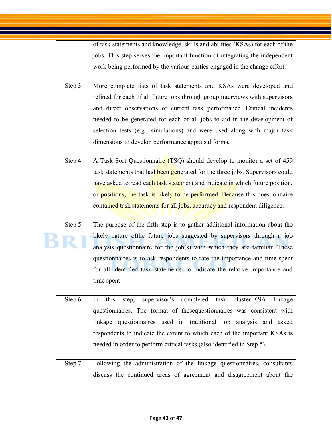|        | of task statements and knowledge, skills and abilities (KSAs) for each of the                                                                        |
|--------|------------------------------------------------------------------------------------------------------------------------------------------------------|
|        | jobs. This step serves the important function of integrating the independent                                                                         |
|        | work being performed by the various parties engaged in the change effort.                                                                            |
| Step 3 | More complete lists of task statements and KSAs were developed and                                                                                   |
|        | refined for each of all future jobs through group interviews with supervisors                                                                        |
|        | and direct observations of current task performance. Critical incidents                                                                              |
|        | needed to be generated for each of all jobs to aid in the development of                                                                             |
|        | selection tests (e.g., simulations) and were used along with major task                                                                              |
|        | dimensions to develop performance appraisal forms.                                                                                                   |
| Step 4 | A Task Sort Questionnaire (TSQ) should develop to monitor a set of 459                                                                               |
|        | task statements that had been generated for the three jobs. Supervisors could                                                                        |
|        | have asked to read each task statement and indicate in which future position,                                                                        |
|        | or positions, the task is likely to be performed. Because this questionnaire                                                                         |
|        | contained task statements for all jobs, accuracy and respondent diligence.                                                                           |
|        |                                                                                                                                                      |
| Step 5 | The purpose of the fifth step is to gather additional information about the                                                                          |
|        | likely nature of the future jobs suggested by supervisors through a job<br>analysis questionnaire for the job(s) with which they are familiar. These |
|        | questionnaires is to ask respondents to rate the importance and time spent                                                                           |
|        | for all identified task statements, to indicate the relative importance and                                                                          |
|        | time spent                                                                                                                                           |
| Step 6 | supervisor's completed task cluster-KSA<br>this<br>step,<br>linkage<br>In                                                                            |
|        | questionnaires. The format of these questionnaires was consistent with                                                                               |
|        | linkage questionnaires used in traditional job analysis and asked                                                                                    |
|        | respondents to indicate the extent to which each of the important KSAs is                                                                            |
|        | needed in order to perform critical tasks (also identified in Step 5).                                                                               |
|        |                                                                                                                                                      |
| Step 7 | Following the administration of the linkage questionnaires, consultants                                                                              |
|        |                                                                                                                                                      |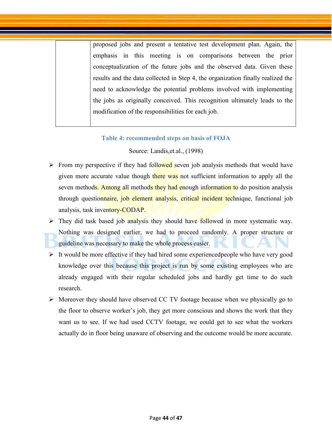proposed jobs and present a tentative test development plan. Again, the emphasis in this meeting is on comparisons between the prior conceptualization of the future jobs and the observed data. Given these results and the data collected in Step 4, the organization finally realized the need to acknowledge the potential problems involved with implementing the jobs as originally conceived. This recognition ultimately leads to the modification of the responsibilities for each job.

#### **Table 4: recommended steps on basis of FOJA**

#### Source: Landis,et.al., (1998)

- <span id="page-43-0"></span> $\triangleright$  From my perspective if they had followed seven job analysis methods that would have given more accurate value though there was not sufficient information to apply all the seven methods. Among all methods they had enough information to do position analysis through questionnaire, job element analysis, critical incident technique, functional job analysis, task inventory-CODAP.
- $\triangleright$  They did task based job analysis they should have followed in more systematic way. Nothing was designed earlier, we had to proceed randomly. A proper structure or guideline was necessary to make the whole process easier.
- $\triangleright$  It would be more effective if they had hired some experienced people who have very good knowledge over this because this project is run by some existing employees who are already engaged with their regular scheduled jobs and hardly get time to do such research.
- $\triangleright$  Moreover they should have observed CC TV footage because when we physically go to the floor to observe worker's job, they get more conscious and shows the work that they want us to see. If we had used CCTV footage, we could get to see what the workers actually do in floor being unaware of observing and the outcome would be more accurate.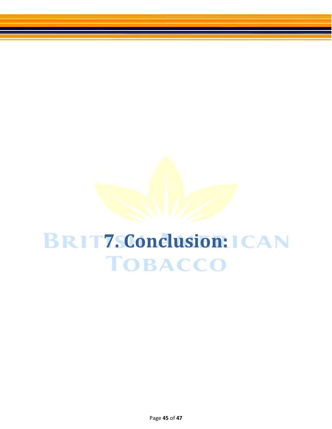## <span id="page-44-0"></span>*BRIT7. Conclusion:* $ICAN$ **TOBACCO**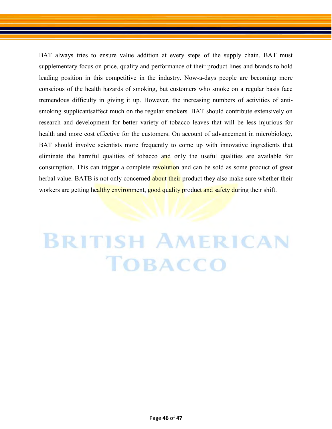BAT always tries to ensure value addition at every steps of the supply chain. BAT must supplementary focus on price, quality and performance of their product lines and brands to hold leading position in this competitive in the industry. Now-a-days people are becoming more conscious of the health hazards of smoking, but customers who smoke on a regular basis face tremendous difficulty in giving it up. However, the increasing numbers of activities of antismoking supplicantsaffect much on the regular smokers. BAT should contribute extensively on research and development for better variety of tobacco leaves that will be less injurious for health and more cost effective for the customers. On account of advancement in microbiology, BAT should involve scientists more frequently to come up with innovative ingredients that eliminate the harmful qualities of tobacco and only the useful qualities are available for consumption. This can trigger a complete revolution and can be sold as some product of great herbal value. BATB is not only concerned about their product they also make sure whether their workers are getting healthy environment, good quality product and safety during their shift.

## **BRITISH AMERICAN TOBACCO**